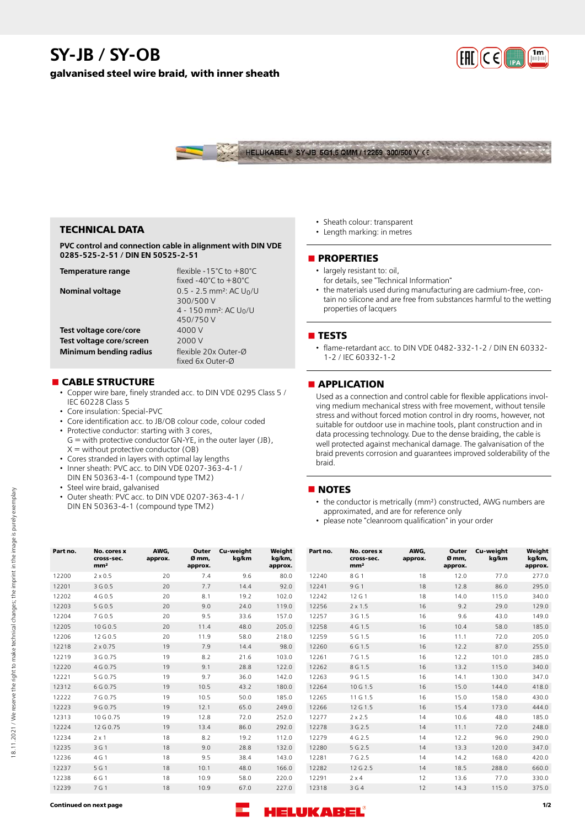# **SY-JB / SY-OB**

**galvanised steel wire braid, with inner sheath**





## **TECHNICAL DATA**

**PVC control and connection cable in alignment with DIN VDE 0285-525-2-51 / DIN EN 50525-2-51**

| Temperature range        | flexible -15 $°C$ to $+80°C$<br>fixed $-40^{\circ}$ C to $+80^{\circ}$ C                                             |
|--------------------------|----------------------------------------------------------------------------------------------------------------------|
| <b>Nominal voltage</b>   | $0.5 - 2.5$ mm <sup>2</sup> : AC U <sub>0</sub> /U<br>300/500 V<br>4 - 150 mm <sup>2</sup> : AC $U_0/U$<br>450/750 V |
| Test voltage core/core   | 4000 V                                                                                                               |
| Test voltage core/screen | 2000 V                                                                                                               |
| Minimum bending radius   | flexible 20x Outer-Ø<br>fixed 6x Outer-Ø                                                                             |

## **n** CABLE STRUCTURE

- Copper wire bare, finely stranded acc. to DIN VDE 0295 Class 5 / IEC 60228 Class 5
- Core insulation: Special-PVC
- Core identification acc. to JB/OB colour code, colour coded
- Protective conductor: starting with 3 cores, G = with protective conductor GN-YE, in the outer layer (JB),  $X =$  without protective conductor (OB)
- Cores stranded in layers with optimal lay lengths
- Inner sheath: PVC acc. to DIN VDE 0207-363-4-1 / DIN EN 50363-4-1 (compound type TM2)
- Steel wire braid, galvanised
- Outer sheath: PVC acc. to DIN VDE 0207-363-4-1 / DIN EN 50363-4-1 (compound type TM2)

• Sheath colour: transparent • Length marking: in metres

#### **nPROPERTIES**

- largely resistant to: oil.
- for details, see "Technical Information"
- the materials used during manufacturing are cadmium-free, contain no silicone and are free from substances harmful to the wetting properties of lacquers

#### **n** TESTS

• flame-retardant acc. to DIN VDE 0482-332-1-2 / DIN EN 60332- 1-2 / IEC 60332-1-2

## **n** APPLICATION

Used as a connection and control cable for flexible applications involving medium mechanical stress with free movement, without tensile stress and without forced motion control in dry rooms, however, not suitable for outdoor use in machine tools, plant construction and in data processing technology. Due to the dense braiding, the cable is well protected against mechanical damage. The galvanisation of the braid prevents corrosion and guarantees improved solderability of the braid.

#### **NOTES**

- the conductor is metrically (mm²) constructed, AWG numbers are approximated, and are for reference only
- please note "cleanroom qualification" in your order

| Part no. | No. cores x<br>cross-sec.<br>mm <sup>2</sup> | AWG.<br>approx. | Outer<br>Ø <sub>mm</sub><br>approx. | Cu-weight<br>kg/km | Weight<br>kg/km,<br>approx. | Part no. | No. cores x<br>cross-sec.<br>mm <sup>2</sup> | AWG,<br>approx. | Outer<br>Ø mm.<br>approx. | Cu-weight<br>kg/km | Weight<br>kg/km,<br>approx. |
|----------|----------------------------------------------|-----------------|-------------------------------------|--------------------|-----------------------------|----------|----------------------------------------------|-----------------|---------------------------|--------------------|-----------------------------|
| 12200    | $2 \times 0.5$                               | 20              | 7.4                                 | 9.6                | 80.0                        | 12240    | 8 G 1                                        | 18              | 12.0                      | 77.0               | 277.0                       |
| 12201    | 3 G 0.5                                      | 20              | 7.7                                 | 14.4               | 92.0                        | 12241    | 9 G 1                                        | 18              | 12.8                      | 86.0               | 295.0                       |
| 12202    | 4 G 0.5                                      | 20              | 8.1                                 | 19.2               | 102.0                       | 12242    | 12 G 1                                       | 18              | 14.0                      | 115.0              | 340.0                       |
| 12203    | 5 G 0.5                                      | 20              | 9.0                                 | 24.0               | 119.0                       | 12256    | $2 \times 1.5$                               | 16              | 9.2                       | 29.0               | 129.0                       |
| 12204    | 7 G 0.5                                      | 20              | 9.5                                 | 33.6               | 157.0                       | 12257    | 3 G 1.5                                      | 16              | 9.6                       | 43.0               | 149.0                       |
| 12205    | 10 G 0.5                                     | 20              | 11.4                                | 48.0               | 205.0                       | 12258    | 4 G 1.5                                      | 16              | 10.4                      | 58.0               | 185.0                       |
| 12206    | 12 G 0.5                                     | 20              | 11.9                                | 58.0               | 218.0                       | 12259    | 5 G 1.5                                      | 16              | 11.1                      | 72.0               | 205.0                       |
| 12218    | $2 \times 0.75$                              | 19              | 7.9                                 | 14.4               | 98.0                        | 12260    | 6 G 1.5                                      | 16              | 12.2                      | 87.0               | 255.0                       |
| 12219    | 3 G 0.75                                     | 19              | 8.2                                 | 21.6               | 103.0                       | 12261    | 7 G 1.5                                      | 16              | 12.2                      | 101.0              | 285.0                       |
| 12220    | 4 G 0.75                                     | 19              | 9.1                                 | 28.8               | 122.0                       | 12262    | 8 G 1.5                                      | 16              | 13.2                      | 115.0              | 340.0                       |
| 12221    | 5 G 0.75                                     | 19              | 9.7                                 | 36.0               | 142.0                       | 12263    | 9 G 1.5                                      | 16              | 14.1                      | 130.0              | 347.0                       |
| 12312    | 6 G 0.75                                     | 19              | 10.5                                | 43.2               | 180.0                       | 12264    | 10 G 1.5                                     | 16              | 15.0                      | 144.0              | 418.0                       |
| 12222    | 7 G 0.75                                     | 19              | 10.5                                | 50.0               | 185.0                       | 12265    | 11 G 1.5                                     | 16              | 15.0                      | 158.0              | 430.0                       |
| 12223    | 9 G 0.75                                     | 19              | 12.1                                | 65.0               | 249.0                       | 12266    | 12 G 1.5                                     | 16              | 15.4                      | 173.0              | 444.0                       |
| 12313    | 10 G 0.75                                    | 19              | 12.8                                | 72.0               | 252.0                       | 12277    | $2 \times 2.5$                               | 14              | 10.6                      | 48.0               | 185.0                       |
| 12224    | 12 G 0.75                                    | 19              | 13.4                                | 86.0               | 292.0                       | 12278    | 3 G 2.5                                      | 14              | 11.1                      | 72.0               | 248.0                       |
| 12234    | $2 \times 1$                                 | 18              | 8.2                                 | 19.2               | 112.0                       | 12279    | 4 G 2.5                                      | 14              | 12.2                      | 96.0               | 290.0                       |
| 12235    | 3 G 1                                        | 18              | 9.0                                 | 28.8               | 132.0                       | 12280    | 5 G 2.5                                      | 14              | 13.3                      | 120.0              | 347.0                       |
| 12236    | 4 G 1                                        | 18              | 9.5                                 | 38.4               | 143.0                       | 12281    | 7 G 2.5                                      | 14              | 14.2                      | 168.0              | 420.0                       |
| 12237    | 5 G 1                                        | 18              | 10.1                                | 48.0               | 166.0                       | 12282    | 12 G 2.5                                     | 14              | 18.5                      | 288.0              | 660.0                       |
| 12238    | 6 G 1                                        | 18              | 10.9                                | 58.0               | 220.0                       | 12291    | $2 \times 4$                                 | 12              | 13.6                      | 77.0               | 330.0                       |
| 12239    | 7 G 1                                        | 18              | 10.9                                | 67.0               | 227.0                       | 12318    | 3 G 4                                        | 12              | 14.3                      | 115.0              | 375.0                       |